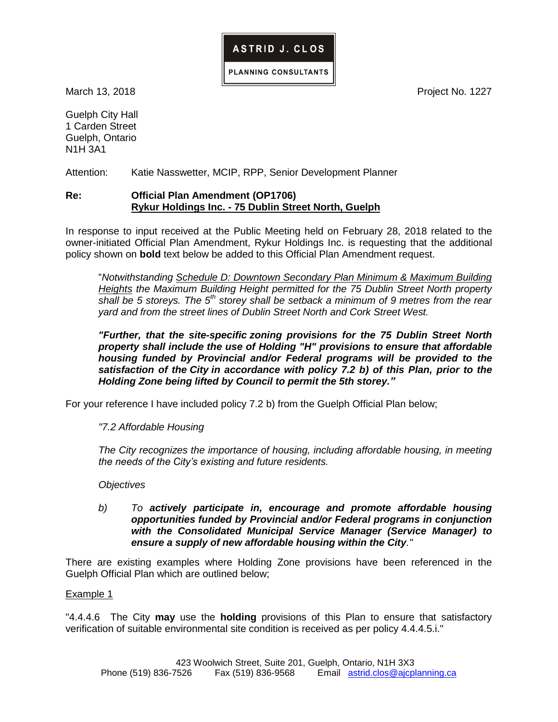

ASTRID J. CLOS

March 13, 2018 **Project No. 1227** 

Guelph City Hall 1 Carden Street Guelph, Ontario N1H 3A1

Attention: Katie Nasswetter, MCIP, RPP, Senior Development Planner

### **Re: Official Plan Amendment (OP1706) Rykur Holdings Inc. - 75 Dublin Street North, Guelph**

In response to input received at the Public Meeting held on February 28, 2018 related to the owner-initiated Official Plan Amendment, Rykur Holdings Inc. is requesting that the additional policy shown on **bold** text below be added to this Official Plan Amendment request.

"*Notwithstanding Schedule D: Downtown Secondary Plan Minimum & Maximum Building Heights the Maximum Building Height permitted for the 75 Dublin Street North property shall be 5 storeys. The 5th storey shall be setback a minimum of 9 metres from the rear yard and from the street lines of Dublin Street North and Cork Street West.*

*"Further, that the site-specific zoning provisions for the 75 Dublin Street North property shall include the use of Holding "H" provisions to ensure that affordable housing funded by Provincial and/or Federal programs will be provided to the satisfaction of the City in accordance with policy 7.2 b) of this Plan, prior to the Holding Zone being lifted by Council to permit the 5th storey."*

For your reference I have included policy 7.2 b) from the Guelph Official Plan below;

*"7.2 Affordable Housing* 

*The City recognizes the importance of housing, including affordable housing, in meeting the needs of the City's existing and future residents.* 

*Objectives* 

*b) To actively participate in, encourage and promote affordable housing opportunities funded by Provincial and/or Federal programs in conjunction with the Consolidated Municipal Service Manager (Service Manager) to ensure a supply of new affordable housing within the City."* 

There are existing examples where Holding Zone provisions have been referenced in the Guelph Official Plan which are outlined below;

#### Example 1

"4.4.4.6 The City **may** use the **holding** provisions of this Plan to ensure that satisfactory verification of suitable environmental site condition is received as per policy 4.4.4.5.i."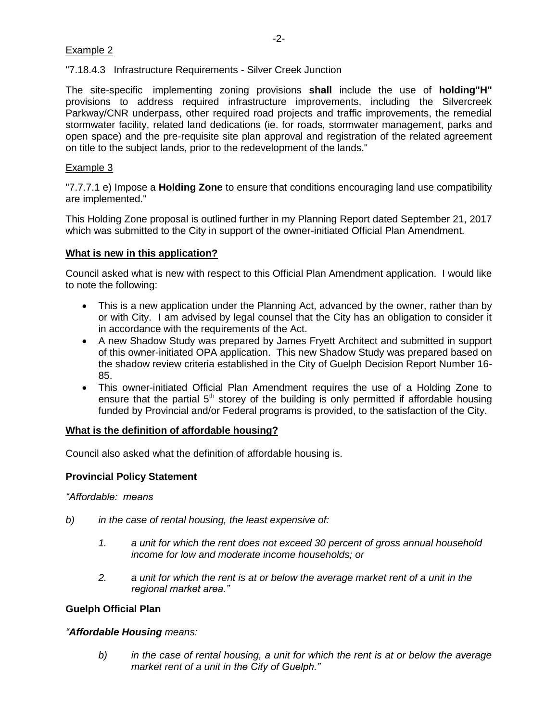# Example 2

"7.18.4.3 Infrastructure Requirements - Silver Creek Junction

The site-specific implementing zoning provisions **shall** include the use of **holding"H"** provisions to address required infrastructure improvements, including the Silvercreek Parkway/CNR underpass, other required road projects and traffic improvements, the remedial stormwater facility, related land dedications (ie. for roads, stormwater management, parks and open space) and the pre-requisite site plan approval and registration of the related agreement on title to the subject lands, prior to the redevelopment of the lands."

## Example 3

"7.7.7.1 e) Impose a **Holding Zone** to ensure that conditions encouraging land use compatibility are implemented."

This Holding Zone proposal is outlined further in my Planning Report dated September 21, 2017 which was submitted to the City in support of the owner-initiated Official Plan Amendment.

### **What is new in this application?**

Council asked what is new with respect to this Official Plan Amendment application. I would like to note the following:

- This is a new application under the Planning Act, advanced by the owner, rather than by or with City. I am advised by legal counsel that the City has an obligation to consider it in accordance with the requirements of the Act.
- A new Shadow Study was prepared by James Fryett Architect and submitted in support of this owner-initiated OPA application. This new Shadow Study was prepared based on the shadow review criteria established in the City of Guelph Decision Report Number 16- 85.
- This owner-initiated Official Plan Amendment requires the use of a Holding Zone to ensure that the partial  $5<sup>th</sup>$  storey of the building is only permitted if affordable housing funded by Provincial and/or Federal programs is provided, to the satisfaction of the City.

#### **What is the definition of affordable housing?**

Council also asked what the definition of affordable housing is.

# **Provincial Policy Statement**

*"Affordable: means* 

- *b) in the case of rental housing, the least expensive of:* 
	- *1. a unit for which the rent does not exceed 30 percent of gross annual household income for low and moderate income households; or*
	- *2. a unit for which the rent is at or below the average market rent of a unit in the regional market area."*

# **Guelph Official Plan**

#### *"Affordable Housing means:*

*b) in the case of rental housing, a unit for which the rent is at or below the average market rent of a unit in the City of Guelph."*